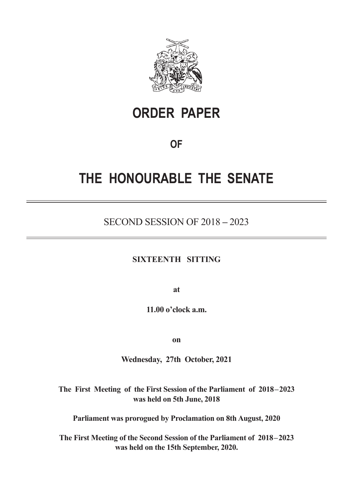

# **ORDER PAPER**

### **OF**

# **THE HONOURABLE THE SENATE**

### SECOND SESSION OF 2018 **–** 2023

#### **SIXTEENTH SITTING**

**at**

**11.00 o'clock a.m.**

**on**

**Wednesday, 27th October, 2021**

**The First Meeting of the First Session of the Parliament of 2018–2023 was held on 5th June, 2018**

**Parliament was prorogued by Proclamation on 8th August, 2020**

**The First Meeting of the Second Session of the Parliament of 2018–2023 was held on the 15th September, 2020.**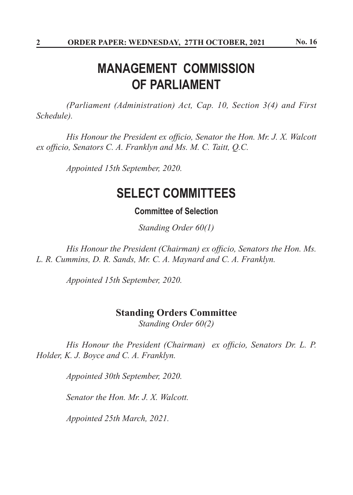## **MANAGEMENT COMMISSION OF PARLIAMENT**

*(Parliament (Administration) Act, Cap. 10, Section 3(4) and First Schedule).*

 *His Honour the President ex officio, Senator the Hon. Mr. J. X. Walcott ex officio, Senators C. A. Franklyn and Ms. M. C. Taitt, Q.C.*

*Appointed 15th September, 2020.*

## **SELECT COMMITTEES**

### **Committee of Selection**

*Standing Order 60(1)*

*His Honour the President (Chairman) ex officio, Senators the Hon. Ms. L. R. Cummins, D. R. Sands, Mr. C. A. Maynard and C. A. Franklyn.*

*Appointed 15th September, 2020.*

### **Standing Orders Committee**

*Standing Order 60(2)*

 *His Honour the President (Chairman) ex officio, Senators Dr. L. P. Holder, K. J. Boyce and C. A. Franklyn.*

*Appointed 30th September, 2020.*

 *Senator the Hon. Mr. J. X. Walcott.*

 *Appointed 25th March, 2021.*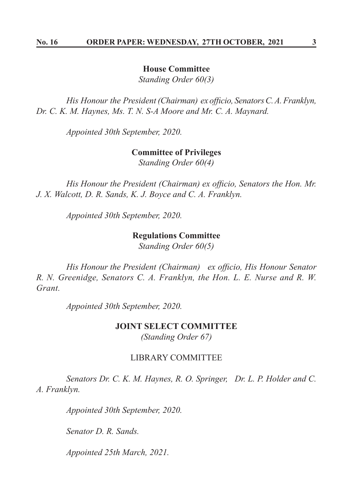#### **House Committee**

*Standing Order 60(3)*

*His Honour the President (Chairman) ex officio, SenatorsC.A.Franklyn, Dr. C. K. M. Haynes, Ms. T. N. S-A Moore and Mr. C. A. Maynard.*

*Appointed 30th September, 2020.*

#### **Committee of Privileges**

*Standing Order 60(4)*

*His Honour the President (Chairman) ex officio, Senators the Hon. Mr. J. X. Walcott, D. R. Sands, K. J. Boyce and C. A. Franklyn.*

*Appointed 30th September, 2020.*

#### **Regulations Committee**

*Standing Order 60(5)*

*His Honour the President (Chairman) ex officio, His Honour Senator R. N. Greenidge, Senators C. A. Franklyn, the Hon. L. E. Nurse and R. W. Grant.*

*Appointed 30th September, 2020.*

#### **JOINT SELECT COMMITTEE**

*(Standing Order 67)*

#### LIBRARY COMMITTEE

*Senators Dr. C. K. M. Haynes, R. O. Springer, Dr. L. P. Holder and C. A. Franklyn.*

*Appointed 30th September, 2020.*

*Senator D. R. Sands.*

 *Appointed 25th March, 2021.*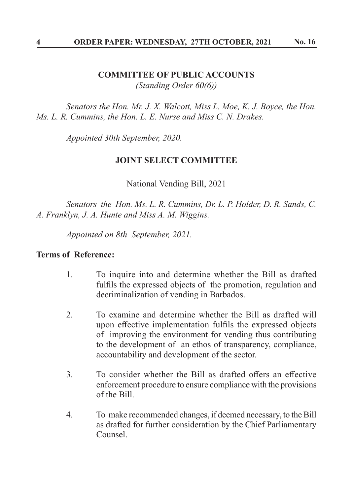#### **COMMITTEE OF PUBLIC ACCOUNTS** *(Standing Order 60(6))*

*Senators the Hon. Mr. J. X. Walcott, Miss L. Moe, K. J. Boyce, the Hon. Ms. L. R. Cummins, the Hon. L. E. Nurse and Miss C. N. Drakes.*

*Appointed 30th September, 2020.*

#### **JOINT SELECT COMMITTEE**

National Vending Bill, 2021

*Senators the Hon. Ms. L. R. Cummins, Dr. L. P. Holder, D. R. Sands, C. A. Franklyn, J. A. Hunte and Miss A. M. Wiggins.*

*Appointed on 8th September, 2021.*

### **Terms of Reference:**

- 1. To inquire into and determine whether the Bill as drafted fulfils the expressed objects of the promotion, regulation and decriminalization of vending in Barbados.
- 2. To examine and determine whether the Bill as drafted will upon effective implementation fulfils the expressed objects of improving the environment for vending thus contributing to the development of an ethos of transparency, compliance, accountability and development of the sector.
- 3. To consider whether the Bill as drafted offers an effective enforcement procedure to ensure compliance with the provisions of the Bill.
- 4. To make recommended changes, if deemed necessary, to the Bill as drafted for further consideration by the Chief Parliamentary Counsel.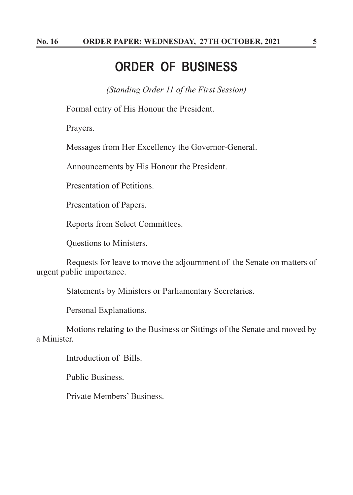### **ORDER OF BUSINESS**

*(Standing Order 11 of the First Session)*

Formal entry of His Honour the President.

Prayers.

Messages from Her Excellency the Governor-General.

Announcements by His Honour the President.

Presentation of Petitions.

Presentation of Papers.

Reports from Select Committees.

Questions to Ministers.

Requests for leave to move the adjournment of the Senate on matters of urgent public importance.

Statements by Ministers or Parliamentary Secretaries.

Personal Explanations.

Motions relating to the Business or Sittings of the Senate and moved by a Minister.

Introduction of Bills.

Public Business.

Private Members' Business.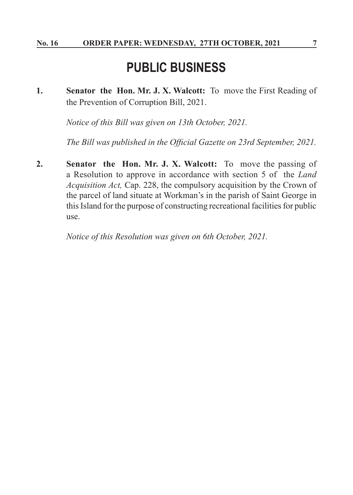## **PUBLIC BUSINESS**

**1. Senator the Hon. Mr. J. X. Walcott:** To move the First Reading of the Prevention of Corruption Bill, 2021.

*Notice of this Bill was given on 13th October, 2021.*

 *The Bill was published in the Official Gazette on 23rd September, 2021.*

**2. Senator the Hon. Mr. J. X. Walcott:** To move the passing of a Resolution to approve in accordance with section 5 of the *Land Acquisition Act,* Cap. 228, the compulsory acquisition by the Crown of the parcel of land situate at Workman's in the parish of Saint George in this Island for the purpose of constructing recreational facilities for public use.

*Notice of this Resolution was given on 6th October, 2021.*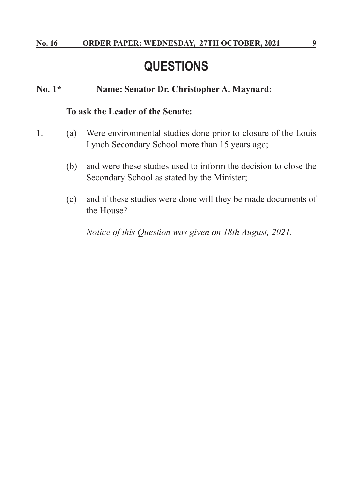## **QUESTIONS**

#### **No. 1\* Name: Senator Dr. Christopher A. Maynard:**

#### **To ask the Leader of the Senate:**

- 1. (a) Were environmental studies done prior to closure of the Louis Lynch Secondary School more than 15 years ago;
	- (b) and were these studies used to inform the decision to close the Secondary School as stated by the Minister;
	- (c) and if these studies were done will they be made documents of the House?

*Notice of this Question was given on 18th August, 2021.*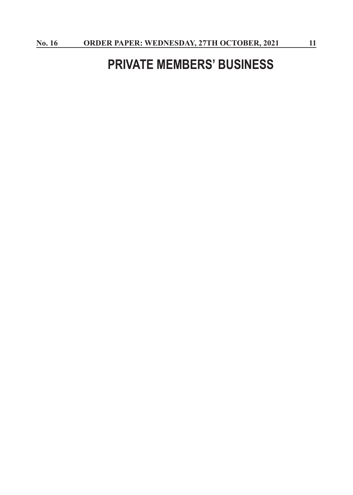## **PRIVATE MEMBERS' BUSINESS**